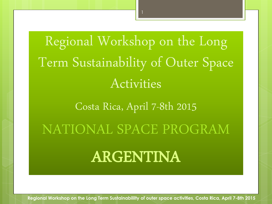Regional Workshop on the Long Term Sustainability of Outer Space Activities

Costa Rica, April 7-8th 2015

NATIONAL SPACE PROGRAM

# ARGENTINA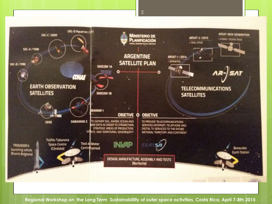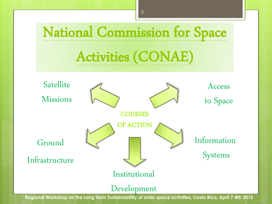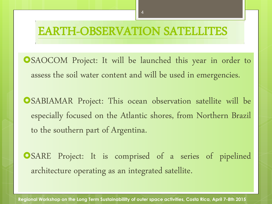### EARTH-OBSERVATION SATELLITES

SAOCOM Project: It will be launched this year in order to assess the soil water content and will be used in emergencies.

SABIAMAR Project: This ocean observation satellite will be especially focused on the Atlantic shores, from Northern Brazil to the southern part of Argentina.

SARE Project: It is comprised of a series of pipelined architecture operating as an integrated satellite.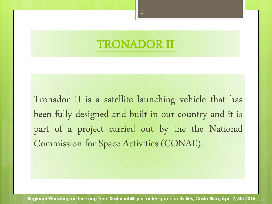### TRONADOR II

Tronador II is a satellite launching vehicle that has been fully designed and built in our country and it is part of a project carried out by the the National Commission for Space Activities (CONAE).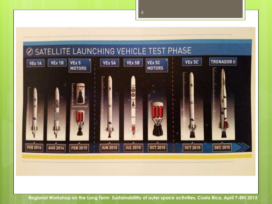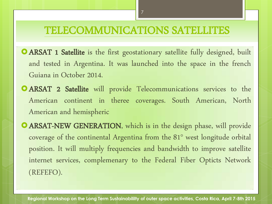#### TELECOMMUNICATIONS SATELLITES

- **O ARSAT 1 Satellite** is the first geostationary satellite fully designed, built and tested in Argentina. It was launched into the space in the french Guiana in October 2014.
- ARSAT 2 Satellite will provide Telecommunications services to the American continent in theree coverages. South American, North American and hemispheric
- ARSAT-NEW GENERATION, which is in the design phase, will provide coverage of the continental Argentina from the 81° west longitude orbital position. It will multiply frequencies and bandwidth to improve satellite internet services, complemenary to the Federal Fiber Opticts Network (REFEFO).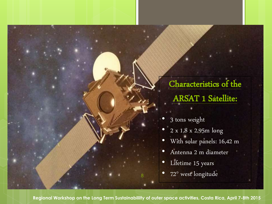## Characteristics of the ARSAT 1 Satellite:

- 3 tons weight
- 2 x 1,8 x 2,95m long
- With solar panels: 16,42 m
- Antenna 2 m diameter
- Lifetime 15 years
- 72° west longitude

**Regional Workshop on the Long Term Sustainabililty of outer space activities, Costa Rica, April 7-8th 2015**